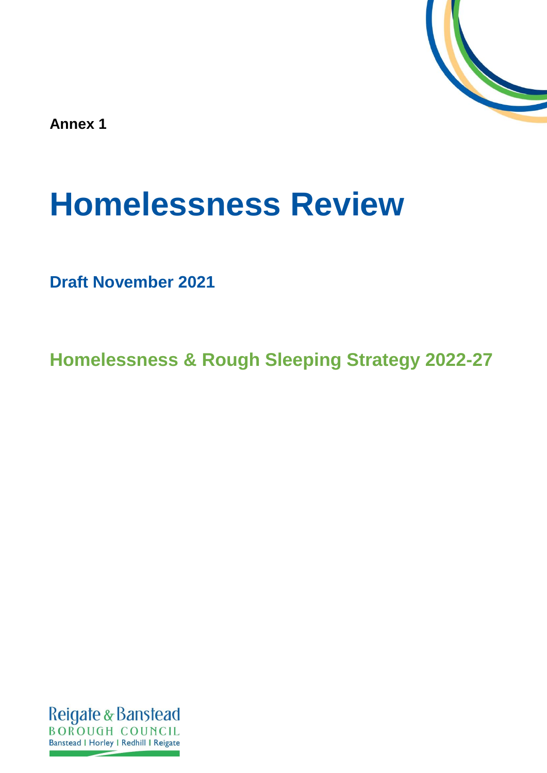

**Annex 1**

# **Homelessness Review**

**Draft November 2021**

**Homelessness & Rough Sleeping Strategy 2022-27**

Reigate & Banstead **BOROUGH COUNCIL** Banstead | Horley | Redhill | Reigate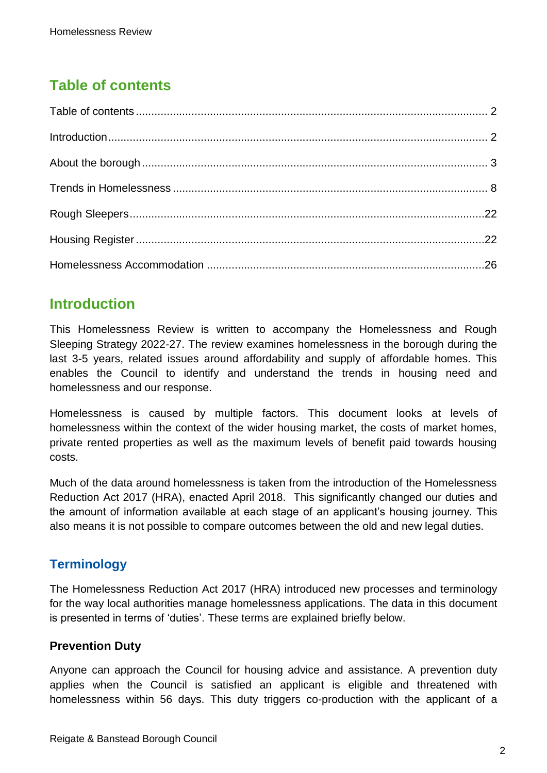# <span id="page-1-0"></span>**Table of contents**

## <span id="page-1-1"></span>**Introduction**

This Homelessness Review is written to accompany the Homelessness and Rough Sleeping Strategy 2022-27. The review examines homelessness in the borough during the last 3-5 years, related issues around affordability and supply of affordable homes. This enables the Council to identify and understand the trends in housing need and homelessness and our response.

Homelessness is caused by multiple factors. This document looks at levels of homelessness within the context of the wider housing market, the costs of market homes, private rented properties as well as the maximum levels of benefit paid towards housing costs.

Much of the data around homelessness is taken from the introduction of the Homelessness Reduction Act 2017 (HRA), enacted April 2018. This significantly changed our duties and the amount of information available at each stage of an applicant's housing journey. This also means it is not possible to compare outcomes between the old and new legal duties.

## **Terminology**

The Homelessness Reduction Act 2017 (HRA) introduced new processes and terminology for the way local authorities manage homelessness applications. The data in this document is presented in terms of 'duties'. These terms are explained briefly below.

#### **Prevention Duty**

Anyone can approach the Council for housing advice and assistance. A prevention duty applies when the Council is satisfied an applicant is eligible and threatened with homelessness within 56 days. This duty triggers co-production with the applicant of a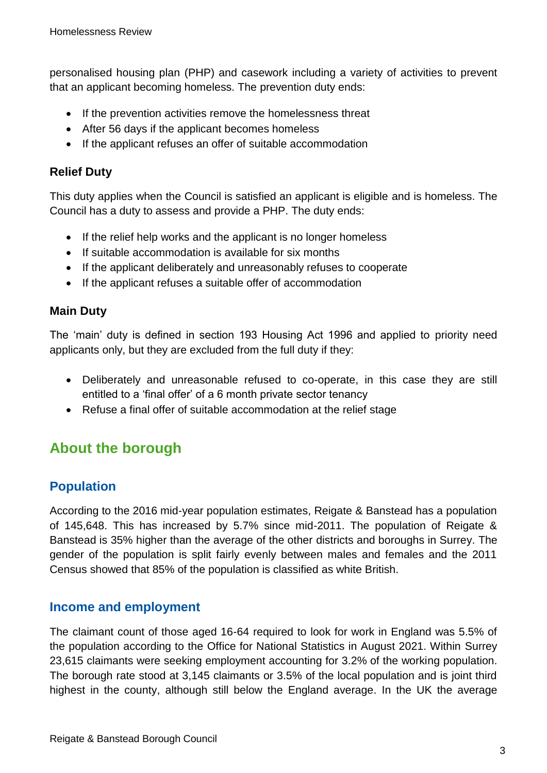personalised housing plan (PHP) and casework including a variety of activities to prevent that an applicant becoming homeless. The prevention duty ends:

- If the prevention activities remove the homelessness threat
- After 56 days if the applicant becomes homeless
- If the applicant refuses an offer of suitable accommodation

#### **Relief Duty**

This duty applies when the Council is satisfied an applicant is eligible and is homeless. The Council has a duty to assess and provide a PHP. The duty ends:

- If the relief help works and the applicant is no longer homeless
- If suitable accommodation is available for six months
- If the applicant deliberately and unreasonably refuses to cooperate
- If the applicant refuses a suitable offer of accommodation

#### **Main Duty**

The 'main' duty is defined in section 193 Housing Act 1996 and applied to priority need applicants only, but they are excluded from the full duty if they:

- Deliberately and unreasonable refused to co-operate, in this case they are still entitled to a 'final offer' of a 6 month private sector tenancy
- Refuse a final offer of suitable accommodation at the relief stage

# <span id="page-2-0"></span>**About the borough**

## **Population**

According to the 2016 mid-year population estimates, Reigate & Banstead has a population of 145,648. This has increased by 5.7% since mid-2011. The population of Reigate & Banstead is 35% higher than the average of the other districts and boroughs in Surrey. The gender of the population is split fairly evenly between males and females and the 2011 Census showed that 85% of the population is classified as white British.

#### **Income and employment**

The claimant count of those aged 16-64 required to look for work in England was 5.5% of the population according to the Office for National Statistics in August 2021. Within Surrey 23,615 claimants were seeking employment accounting for 3.2% of the working population. The borough rate stood at 3,145 claimants or 3.5% of the local population and is joint third highest in the county, although still below the England average. In the UK the average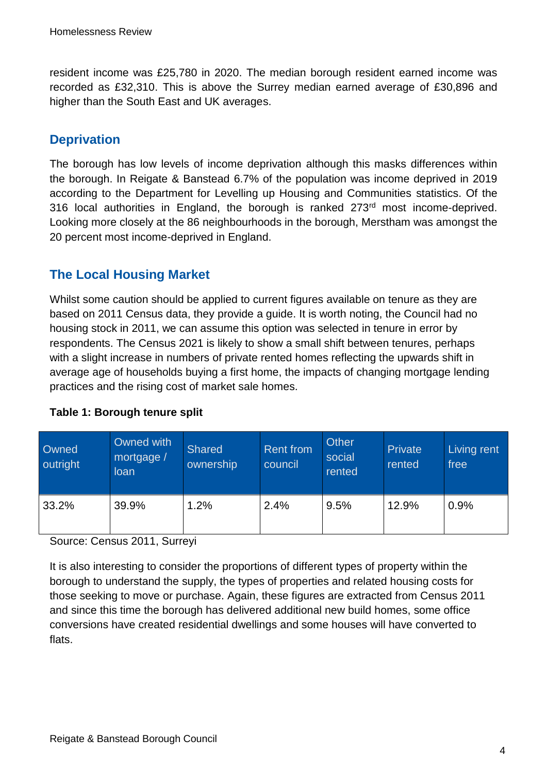resident income was £25,780 in 2020. The median borough resident earned income was recorded as £32,310. This is above the Surrey median earned average of £30,896 and higher than the South East and UK averages.

## **Deprivation**

The borough has low levels of income deprivation although this masks differences within the borough. In Reigate & Banstead 6.7% of the population was income deprived in 2019 according to the Department for Levelling up Housing and Communities statistics. Of the 316 local authorities in England, the borough is ranked 273rd most income-deprived. Looking more closely at the 86 neighbourhoods in the borough, Merstham was amongst the 20 percent most income-deprived in England.

## **The Local Housing Market**

Whilst some caution should be applied to current figures available on tenure as they are based on 2011 Census data, they provide a guide. It is worth noting, the Council had no housing stock in 2011, we can assume this option was selected in tenure in error by respondents. The Census 2021 is likely to show a small shift between tenures, perhaps with a slight increase in numbers of private rented homes reflecting the upwards shift in average age of households buying a first home, the impacts of changing mortgage lending practices and the rising cost of market sale homes.

| Owned<br>outright | Owned with<br>mortgage /<br>loan | <b>Shared</b><br>ownership | <b>Rent from</b><br>council | Other<br>social<br>rented | Private<br>rented | Living rent<br>free |
|-------------------|----------------------------------|----------------------------|-----------------------------|---------------------------|-------------------|---------------------|
| 33.2%             | 39.9%                            | 1.2%                       | 2.4%                        | 9.5%                      | 12.9%             | 0.9%                |

#### **Table 1: Borough tenure split**

Source: Census 2011, Surreyi

It is also interesting to consider the proportions of different types of property within the borough to understand the supply, the types of properties and related housing costs for those seeking to move or purchase. Again, these figures are extracted from Census 2011 and since this time the borough has delivered additional new build homes, some office conversions have created residential dwellings and some houses will have converted to flats.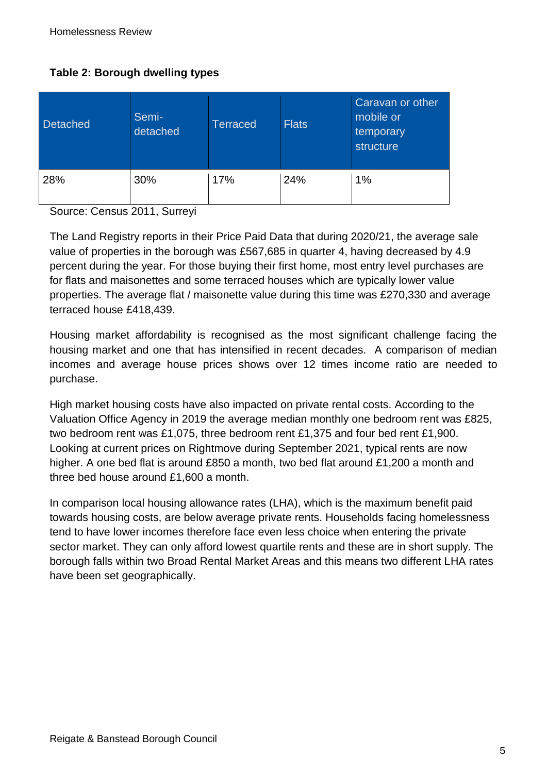#### **Table 2: Borough dwelling types**

| <b>Detached</b> | Semi-<br>detached | <b>Terraced</b> | <b>Flats</b> | Caravan or other<br>mobile or<br>temporary<br>structure |
|-----------------|-------------------|-----------------|--------------|---------------------------------------------------------|
| 28%             | 30%               | 17%             | 24%          | 1%                                                      |

Source: Census 2011, Surreyi

The Land Registry reports in their Price Paid Data that during 2020/21, the average sale value of properties in the borough was £567,685 in quarter 4, having decreased by 4.9 percent during the year. For those buying their first home, most entry level purchases are for flats and maisonettes and some terraced houses which are typically lower value properties. The average flat / maisonette value during this time was £270,330 and average terraced house £418,439.

Housing market affordability is recognised as the most significant challenge facing the housing market and one that has intensified in recent decades. A comparison of median incomes and average house prices shows over 12 times income ratio are needed to purchase.

High market housing costs have also impacted on private rental costs. According to the Valuation Office Agency in 2019 the average median monthly one bedroom rent was £825, two bedroom rent was £1,075, three bedroom rent £1,375 and four bed rent £1,900. Looking at current prices on Rightmove during September 2021, typical rents are now higher. A one bed flat is around £850 a month, two bed flat around £1,200 a month and three bed house around £1,600 a month.

In comparison local housing allowance rates (LHA), which is the maximum benefit paid towards housing costs, are below average private rents. Households facing homelessness tend to have lower incomes therefore face even less choice when entering the private sector market. They can only afford lowest quartile rents and these are in short supply. The borough falls within two Broad Rental Market Areas and this means two different LHA rates have been set geographically.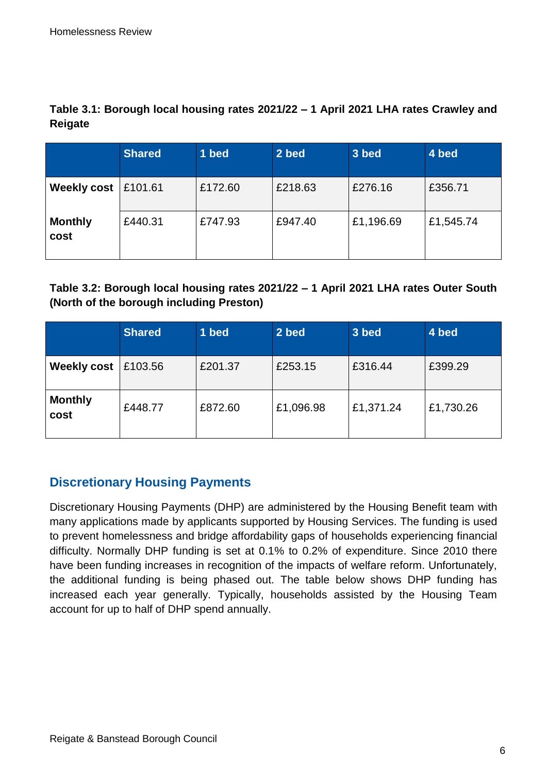|                        | <b>Shared</b> | 1 bed   | 2 bed   | 3 bed     | 4 bed     |
|------------------------|---------------|---------|---------|-----------|-----------|
| <b>Weekly cost</b>     | £101.61       | £172.60 | £218.63 | £276.16   | £356.71   |
| <b>Monthly</b><br>cost | £440.31       | £747.93 | £947.40 | £1,196.69 | £1,545.74 |

**Table 3.1: Borough local housing rates 2021/22 – 1 April 2021 LHA rates Crawley and Reigate**

#### **Table 3.2: Borough local housing rates 2021/22 – 1 April 2021 LHA rates Outer South (North of the borough including Preston)**

|                        | <b>Shared</b> | 1 bed   | 2 bed     | 3 bed     | 4 bed     |
|------------------------|---------------|---------|-----------|-----------|-----------|
| <b>Weekly cost</b>     | £103.56       | £201.37 | £253.15   | £316.44   | £399.29   |
| <b>Monthly</b><br>cost | £448.77       | £872.60 | £1,096.98 | £1,371.24 | £1,730.26 |

## **Discretionary Housing Payments**

Discretionary Housing Payments (DHP) are administered by the Housing Benefit team with many applications made by applicants supported by Housing Services. The funding is used to prevent homelessness and bridge affordability gaps of households experiencing financial difficulty. Normally DHP funding is set at 0.1% to 0.2% of expenditure. Since 2010 there have been funding increases in recognition of the impacts of welfare reform. Unfortunately, the additional funding is being phased out. The table below shows DHP funding has increased each year generally. Typically, households assisted by the Housing Team account for up to half of DHP spend annually.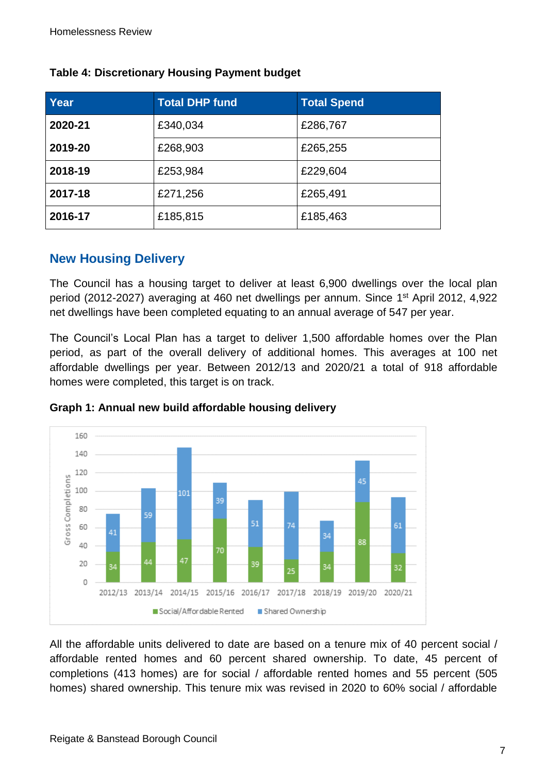| Year    | <b>Total DHP fund</b> | <b>Total Spend</b> |
|---------|-----------------------|--------------------|
| 2020-21 | £340,034              | £286,767           |
| 2019-20 | £268,903              | £265,255           |
| 2018-19 | £253,984              | £229,604           |
| 2017-18 | £271,256              | £265,491           |
| 2016-17 | £185,815              | £185,463           |

#### **Table 4: Discretionary Housing Payment budget**

#### **New Housing Delivery**

The Council has a housing target to deliver at least 6,900 dwellings over the local plan period (2012-2027) averaging at 460 net dwellings per annum. Since 1st April 2012, 4,922 net dwellings have been completed equating to an annual average of 547 per year.

The Council's Local Plan has a target to deliver 1,500 affordable homes over the Plan period, as part of the overall delivery of additional homes. This averages at 100 net affordable dwellings per year. Between 2012/13 and 2020/21 a total of 918 affordable homes were completed, this target is on track.





All the affordable units delivered to date are based on a tenure mix of 40 percent social / affordable rented homes and 60 percent shared ownership. To date, 45 percent of completions (413 homes) are for social / affordable rented homes and 55 percent (505 homes) shared ownership. This tenure mix was revised in 2020 to 60% social / affordable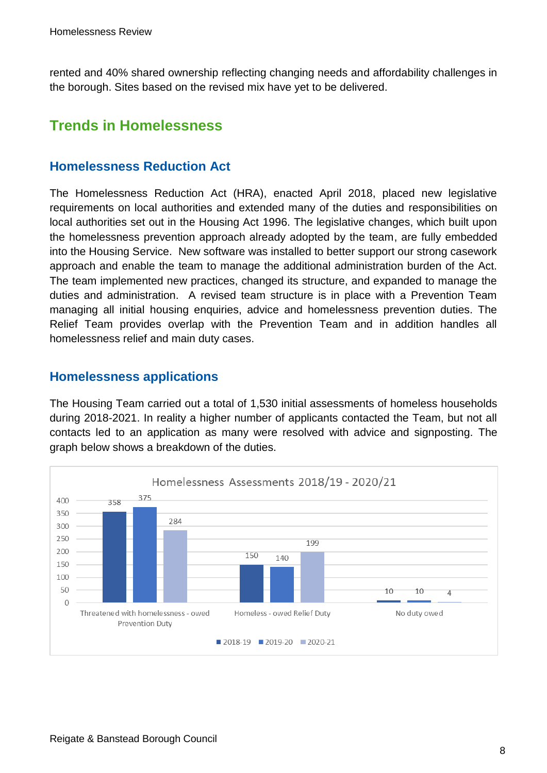rented and 40% shared ownership reflecting changing needs and affordability challenges in the borough. Sites based on the revised mix have yet to be delivered.

# <span id="page-7-0"></span>**Trends in Homelessness**

#### **Homelessness Reduction Act**

The Homelessness Reduction Act (HRA), enacted April 2018, placed new legislative requirements on local authorities and extended many of the duties and responsibilities on local authorities set out in the Housing Act 1996. The legislative changes, which built upon the homelessness prevention approach already adopted by the team, are fully embedded into the Housing Service. New software was installed to better support our strong casework approach and enable the team to manage the additional administration burden of the Act. The team implemented new practices, changed its structure, and expanded to manage the duties and administration. A revised team structure is in place with a Prevention Team managing all initial housing enquiries, advice and homelessness prevention duties. The Relief Team provides overlap with the Prevention Team and in addition handles all homelessness relief and main duty cases.

#### **Homelessness applications**

The Housing Team carried out a total of 1,530 initial assessments of homeless households during 2018-2021. In reality a higher number of applicants contacted the Team, but not all contacts led to an application as many were resolved with advice and signposting. The graph below shows a breakdown of the duties.

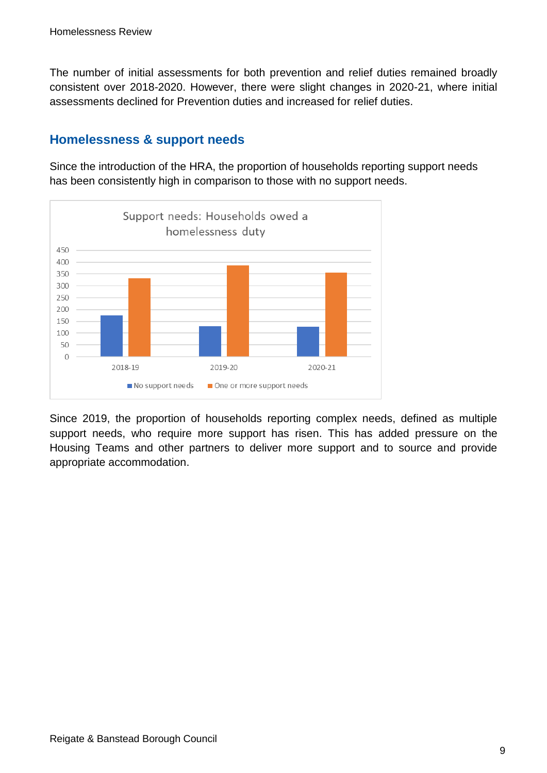The number of initial assessments for both prevention and relief duties remained broadly consistent over 2018-2020. However, there were slight changes in 2020-21, where initial assessments declined for Prevention duties and increased for relief duties.

#### **Homelessness & support needs**

Since the introduction of the HRA, the proportion of households reporting support needs has been consistently high in comparison to those with no support needs.



Since 2019, the proportion of households reporting complex needs, defined as multiple support needs, who require more support has risen. This has added pressure on the Housing Teams and other partners to deliver more support and to source and provide appropriate accommodation.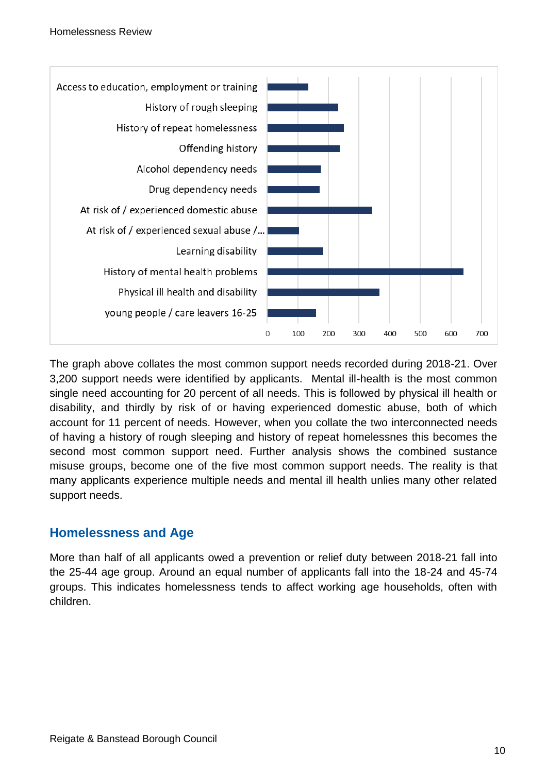

The graph above collates the most common support needs recorded during 2018-21. Over 3,200 support needs were identified by applicants. Mental ill-health is the most common single need accounting for 20 percent of all needs. This is followed by physical ill health or disability, and thirdly by risk of or having experienced domestic abuse, both of which account for 11 percent of needs. However, when you collate the two interconnected needs of having a history of rough sleeping and history of repeat homelessnes this becomes the second most common support need. Further analysis shows the combined sustance misuse groups, become one of the five most common support needs. The reality is that many applicants experience multiple needs and mental ill health unlies many other related support needs.

#### **Homelessness and Age**

More than half of all applicants owed a prevention or relief duty between 2018-21 fall into the 25-44 age group. Around an equal number of applicants fall into the 18-24 and 45-74 groups. This indicates homelessness tends to affect working age households, often with children.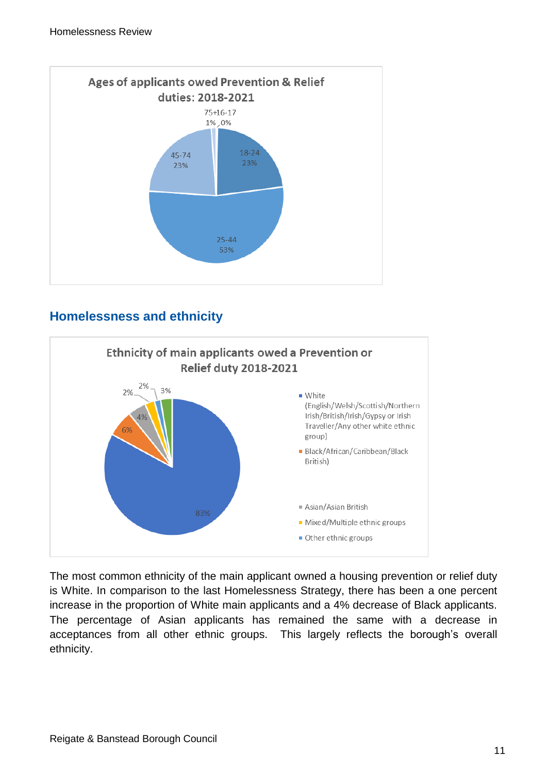

## **Homelessness and ethnicity**



The most common ethnicity of the main applicant owned a housing prevention or relief duty is White. In comparison to the last Homelessness Strategy, there has been a one percent increase in the proportion of White main applicants and a 4% decrease of Black applicants. The percentage of Asian applicants has remained the same with a decrease in acceptances from all other ethnic groups. This largely reflects the borough's overall ethnicity.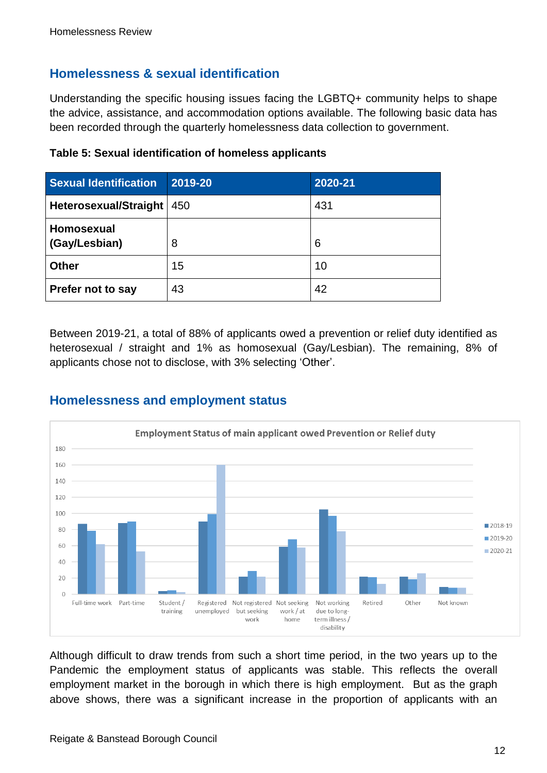#### **Homelessness & sexual identification**

Understanding the specific housing issues facing the LGBTQ+ community helps to shape the advice, assistance, and accommodation options available. The following basic data has been recorded through the quarterly homelessness data collection to government.

| <b>Sexual Identification</b> | 2019-20 | 2020-21 |
|------------------------------|---------|---------|
| <b>Heterosexual/Straight</b> | 450     | 431     |
| Homosexual<br>(Gay/Lesbian)  | 8       | 6       |
| <b>Other</b>                 | 15      | 10      |
| Prefer not to say            | 43      | 42      |

**Table 5: Sexual identification of homeless applicants**

Between 2019-21, a total of 88% of applicants owed a prevention or relief duty identified as heterosexual / straight and 1% as homosexual (Gay/Lesbian). The remaining, 8% of applicants chose not to disclose, with 3% selecting 'Other'.





Although difficult to draw trends from such a short time period, in the two years up to the Pandemic the employment status of applicants was stable. This reflects the overall employment market in the borough in which there is high employment. But as the graph above shows, there was a significant increase in the proportion of applicants with an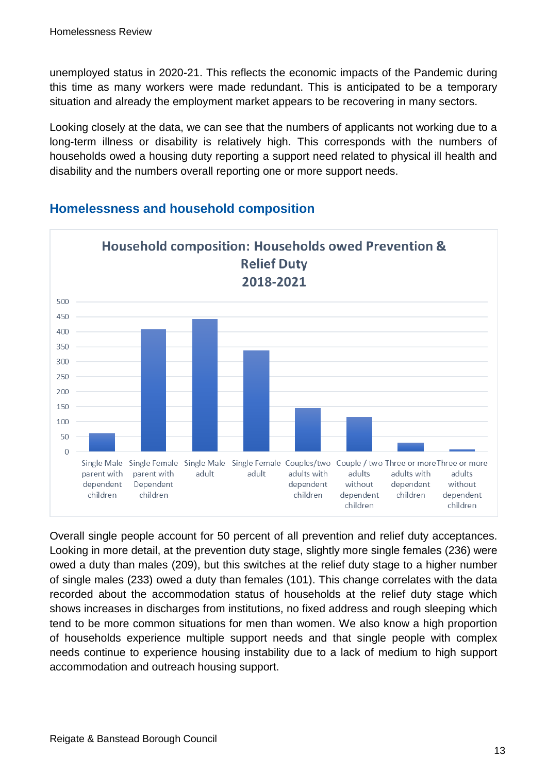unemployed status in 2020-21. This reflects the economic impacts of the Pandemic during this time as many workers were made redundant. This is anticipated to be a temporary situation and already the employment market appears to be recovering in many sectors.

Looking closely at the data, we can see that the numbers of applicants not working due to a long-term illness or disability is relatively high. This corresponds with the numbers of households owed a housing duty reporting a support need related to physical ill health and disability and the numbers overall reporting one or more support needs.



### **Homelessness and household composition**

Overall single people account for 50 percent of all prevention and relief duty acceptances. Looking in more detail, at the prevention duty stage, slightly more single females (236) were owed a duty than males (209), but this switches at the relief duty stage to a higher number of single males (233) owed a duty than females (101). This change correlates with the data recorded about the accommodation status of households at the relief duty stage which shows increases in discharges from institutions, no fixed address and rough sleeping which tend to be more common situations for men than women. We also know a high proportion of households experience multiple support needs and that single people with complex needs continue to experience housing instability due to a lack of medium to high support accommodation and outreach housing support.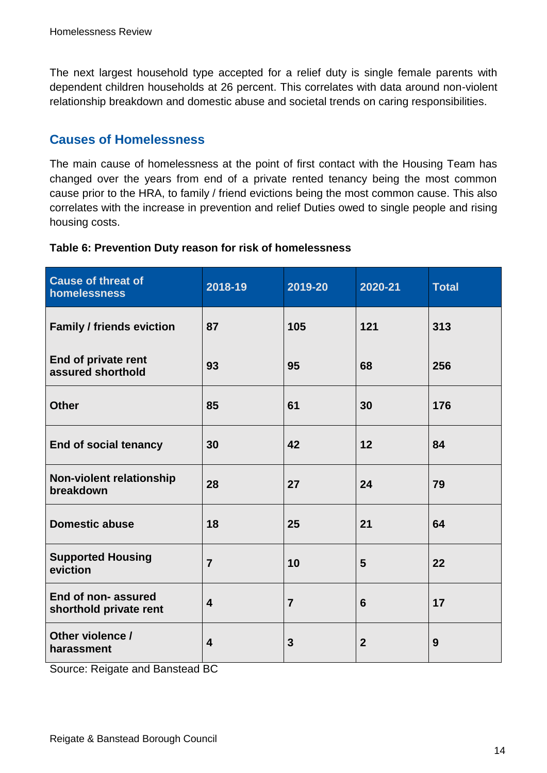The next largest household type accepted for a relief duty is single female parents with dependent children households at 26 percent. This correlates with data around non-violent relationship breakdown and domestic abuse and societal trends on caring responsibilities.

#### **Causes of Homelessness**

The main cause of homelessness at the point of first contact with the Housing Team has changed over the years from end of a private rented tenancy being the most common cause prior to the HRA, to family / friend evictions being the most common cause. This also correlates with the increase in prevention and relief Duties owed to single people and rising housing costs.

| <b>Cause of threat of</b><br>homelessness    | 2018-19                 | 2019-20        | 2020-21        | <b>Total</b> |
|----------------------------------------------|-------------------------|----------------|----------------|--------------|
| <b>Family / friends eviction</b>             | 87                      | 105            | 121            | 313          |
| End of private rent<br>assured shorthold     | 93                      | 95             | 68             | 256          |
| <b>Other</b>                                 | 85                      | 61             | 30             | 176          |
| <b>End of social tenancy</b>                 | 30                      | 42             | 12             | 84           |
| Non-violent relationship<br>breakdown        | 28                      | 27             | 24             | 79           |
| <b>Domestic abuse</b>                        | 18                      | 25             | 21             | 64           |
| <b>Supported Housing</b><br>eviction         | $\overline{7}$          | 10             | 5              | 22           |
| End of non-assured<br>shorthold private rent | $\overline{\mathbf{4}}$ | $\overline{7}$ | 6              | 17           |
| Other violence /<br>harassment               | $\overline{\mathbf{4}}$ | 3              | $\overline{2}$ | 9            |

#### **Table 6: Prevention Duty reason for risk of homelessness**

Source: Reigate and Banstead BC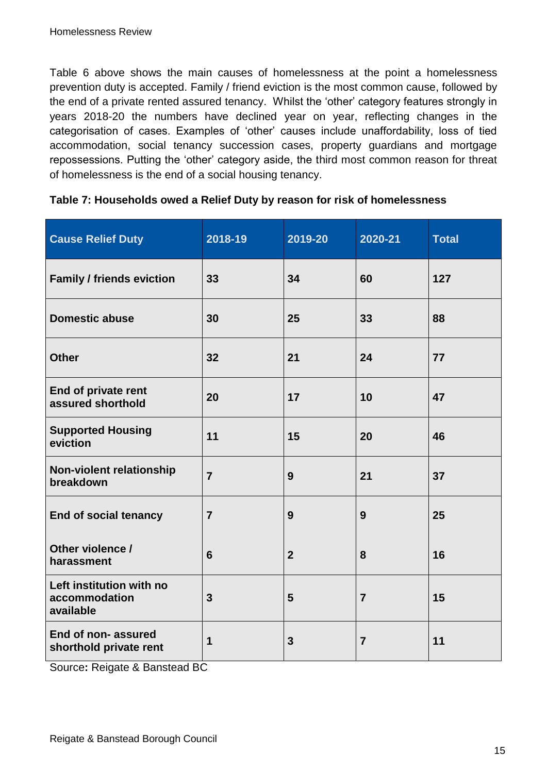Table 6 above shows the main causes of homelessness at the point a homelessness prevention duty is accepted. Family / friend eviction is the most common cause, followed by the end of a private rented assured tenancy. Whilst the 'other' category features strongly in years 2018-20 the numbers have declined year on year, reflecting changes in the categorisation of cases. Examples of 'other' causes include unaffordability, loss of tied accommodation, social tenancy succession cases, property guardians and mortgage repossessions. Putting the 'other' category aside, the third most common reason for threat of homelessness is the end of a social housing tenancy.

| <b>Cause Relief Duty</b>                               | 2018-19         | 2019-20          | 2020-21        | <b>Total</b> |
|--------------------------------------------------------|-----------------|------------------|----------------|--------------|
| <b>Family / friends eviction</b>                       | 33              | 34               | 60             | 127          |
| <b>Domestic abuse</b>                                  | 30              | 25               | 33             | 88           |
| <b>Other</b>                                           | 32              | 21               | 24             | 77           |
| End of private rent<br>assured shorthold               | 20              | 17               | 10             | 47           |
| <b>Supported Housing</b><br>eviction                   | 11              | 15               | 20             | 46           |
| <b>Non-violent relationship</b><br>breakdown           | $\overline{7}$  | 9                | 21             | 37           |
| <b>End of social tenancy</b>                           | $\overline{7}$  | 9                | 9              | 25           |
| Other violence /<br>harassment                         | $6\phantom{1}6$ | $\boldsymbol{2}$ | 8              | 16           |
| Left institution with no<br>accommodation<br>available | $\mathbf{3}$    | 5                | $\overline{7}$ | 15           |
| End of non-assured<br>shorthold private rent           | 1               | $\mathbf{3}$     | $\overline{7}$ | 11           |

| Table 7: Households owed a Relief Duty by reason for risk of homelessness |  |  |
|---------------------------------------------------------------------------|--|--|
|---------------------------------------------------------------------------|--|--|

Source**:** Reigate & Banstead BC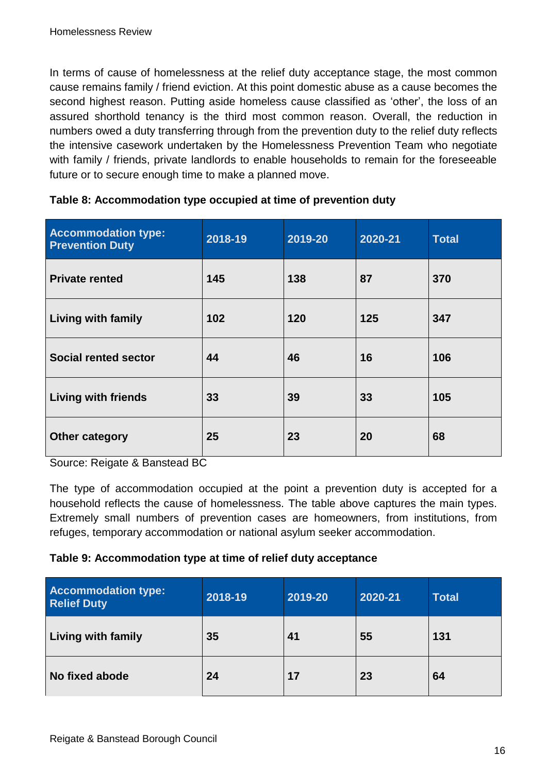In terms of cause of homelessness at the relief duty acceptance stage, the most common cause remains family / friend eviction. At this point domestic abuse as a cause becomes the second highest reason. Putting aside homeless cause classified as 'other', the loss of an assured shorthold tenancy is the third most common reason. Overall, the reduction in numbers owed a duty transferring through from the prevention duty to the relief duty reflects the intensive casework undertaken by the Homelessness Prevention Team who negotiate with family / friends, private landlords to enable households to remain for the foreseeable future or to secure enough time to make a planned move.

| <b>Accommodation type:</b><br><b>Prevention Duty</b> | 2018-19 | 2019-20 | 2020-21 | <b>Total</b> |
|------------------------------------------------------|---------|---------|---------|--------------|
| <b>Private rented</b>                                | 145     | 138     | 87      | 370          |
| <b>Living with family</b>                            | 102     | 120     | 125     | 347          |
| <b>Social rented sector</b>                          | 44      | 46      | 16      | 106          |
| <b>Living with friends</b>                           | 33      | 39      | 33      | 105          |
| <b>Other category</b>                                | 25      | 23      | 20      | 68           |

| Table 8: Accommodation type occupied at time of prevention duty |  |  |
|-----------------------------------------------------------------|--|--|
|-----------------------------------------------------------------|--|--|

Source: Reigate & Banstead BC

The type of accommodation occupied at the point a prevention duty is accepted for a household reflects the cause of homelessness. The table above captures the main types. Extremely small numbers of prevention cases are homeowners, from institutions, from refuges, temporary accommodation or national asylum seeker accommodation.

#### **Table 9: Accommodation type at time of relief duty acceptance**

| <b>Accommodation type:</b><br><b>Relief Duty</b> | 2018-19 | 2019-20 | 2020-21 | <b>Total</b> |
|--------------------------------------------------|---------|---------|---------|--------------|
| <b>Living with family</b>                        | 35      | 41      | 55      | 131          |
| No fixed abode                                   | 24      | 17      | 23      | 64           |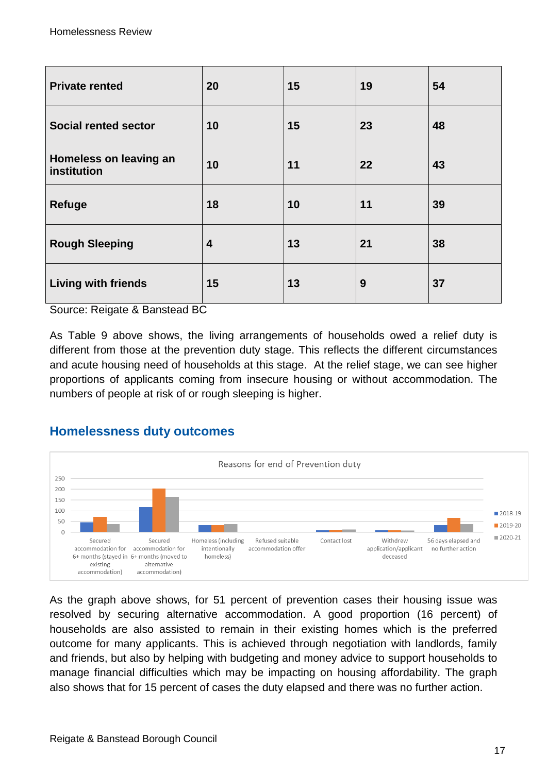| <b>Private rented</b>                 | 20 | 15 | 19 | 54 |
|---------------------------------------|----|----|----|----|
| <b>Social rented sector</b>           | 10 | 15 | 23 | 48 |
| Homeless on leaving an<br>institution | 10 | 11 | 22 | 43 |
| <b>Refuge</b>                         | 18 | 10 | 11 | 39 |
| <b>Rough Sleeping</b>                 | 4  | 13 | 21 | 38 |
| <b>Living with friends</b>            | 15 | 13 | 9  | 37 |

Source: Reigate & Banstead BC

As Table 9 above shows, the living arrangements of households owed a relief duty is different from those at the prevention duty stage. This reflects the different circumstances and acute housing need of households at this stage. At the relief stage, we can see higher proportions of applicants coming from insecure housing or without accommodation. The numbers of people at risk of or rough sleeping is higher.

#### **Homelessness duty outcomes**



As the graph above shows, for 51 percent of prevention cases their housing issue was resolved by securing alternative accommodation. A good proportion (16 percent) of households are also assisted to remain in their existing homes which is the preferred outcome for many applicants. This is achieved through negotiation with landlords, family and friends, but also by helping with budgeting and money advice to support households to manage financial difficulties which may be impacting on housing affordability. The graph also shows that for 15 percent of cases the duty elapsed and there was no further action.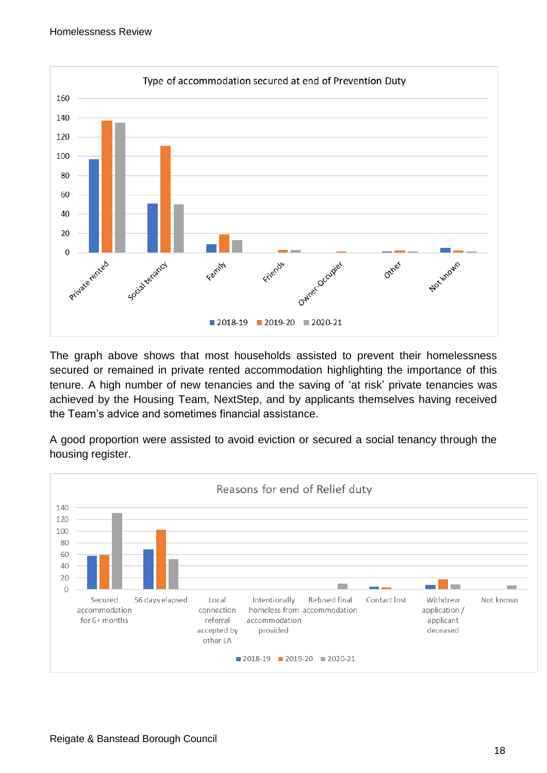

The graph above shows that most households assisted to prevent their homelessness secured or remained in private rented accommodation highlighting the importance of this tenure. A high number of new tenancies and the saving of 'at risk' private tenancies was achieved by the Housing Team, NextStep, and by applicants themselves having received the Team's advice and sometimes financial assistance.

A good proportion were assisted to avoid eviction or secured a social tenancy through the housing register.

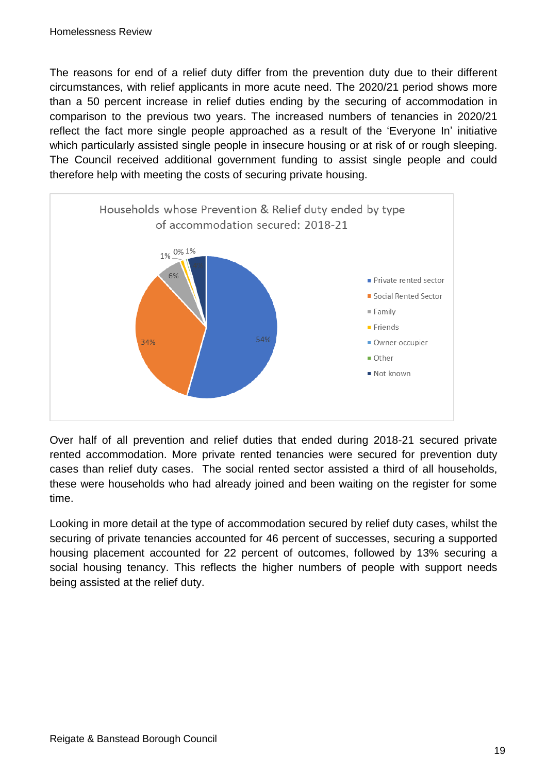The reasons for end of a relief duty differ from the prevention duty due to their different circumstances, with relief applicants in more acute need. The 2020/21 period shows more than a 50 percent increase in relief duties ending by the securing of accommodation in comparison to the previous two years. The increased numbers of tenancies in 2020/21 reflect the fact more single people approached as a result of the 'Everyone In' initiative which particularly assisted single people in insecure housing or at risk of or rough sleeping. The Council received additional government funding to assist single people and could therefore help with meeting the costs of securing private housing.



Over half of all prevention and relief duties that ended during 2018-21 secured private rented accommodation. More private rented tenancies were secured for prevention duty cases than relief duty cases. The social rented sector assisted a third of all households, these were households who had already joined and been waiting on the register for some time.

Looking in more detail at the type of accommodation secured by relief duty cases, whilst the securing of private tenancies accounted for 46 percent of successes, securing a supported housing placement accounted for 22 percent of outcomes, followed by 13% securing a social housing tenancy. This reflects the higher numbers of people with support needs being assisted at the relief duty.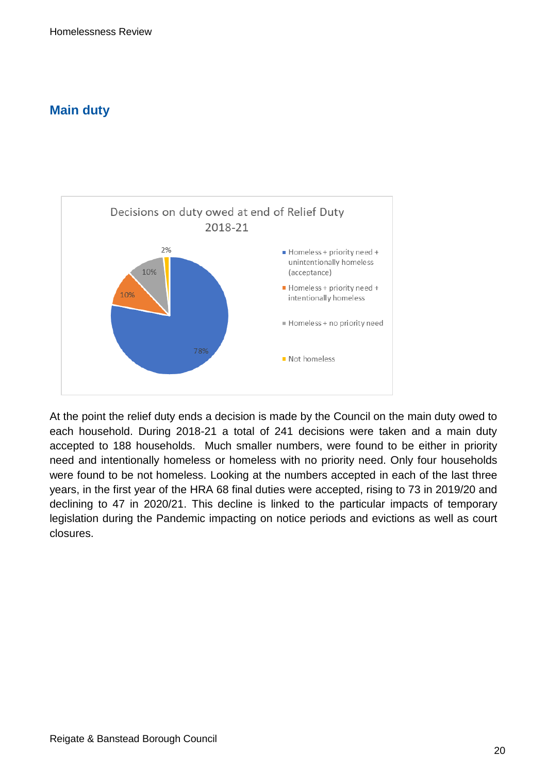#### **Main duty**



At the point the relief duty ends a decision is made by the Council on the main duty owed to each household. During 2018-21 a total of 241 decisions were taken and a main duty accepted to 188 households. Much smaller numbers, were found to be either in priority need and intentionally homeless or homeless with no priority need. Only four households were found to be not homeless. Looking at the numbers accepted in each of the last three years, in the first year of the HRA 68 final duties were accepted, rising to 73 in 2019/20 and declining to 47 in 2020/21. This decline is linked to the particular impacts of temporary legislation during the Pandemic impacting on notice periods and evictions as well as court closures.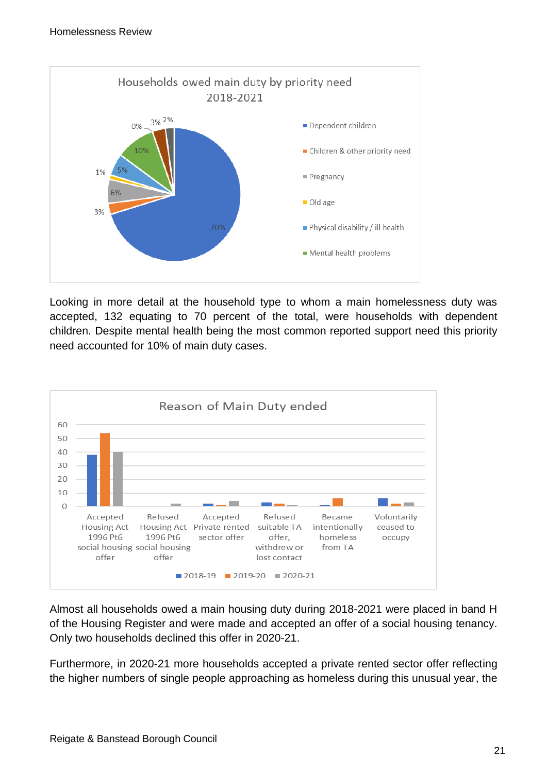

Looking in more detail at the household type to whom a main homelessness duty was accepted, 132 equating to 70 percent of the total, were households with dependent children. Despite mental health being the most common reported support need this priority need accounted for 10% of main duty cases.



Almost all households owed a main housing duty during 2018-2021 were placed in band H of the Housing Register and were made and accepted an offer of a social housing tenancy. Only two households declined this offer in 2020-21.

Furthermore, in 2020-21 more households accepted a private rented sector offer reflecting the higher numbers of single people approaching as homeless during this unusual year, the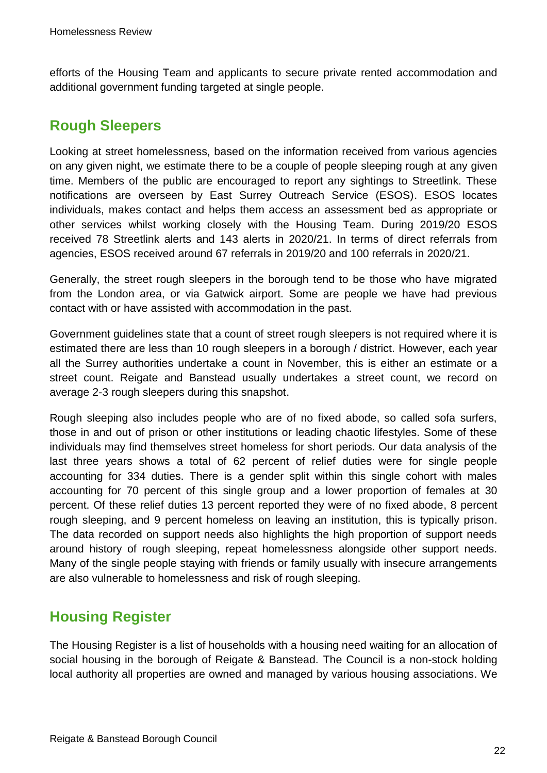efforts of the Housing Team and applicants to secure private rented accommodation and additional government funding targeted at single people.

# <span id="page-21-0"></span>**Rough Sleepers**

Looking at street homelessness, based on the information received from various agencies on any given night, we estimate there to be a couple of people sleeping rough at any given time. Members of the public are encouraged to report any sightings to Streetlink. These notifications are overseen by East Surrey Outreach Service (ESOS). ESOS locates individuals, makes contact and helps them access an assessment bed as appropriate or other services whilst working closely with the Housing Team. During 2019/20 ESOS received 78 Streetlink alerts and 143 alerts in 2020/21. In terms of direct referrals from agencies, ESOS received around 67 referrals in 2019/20 and 100 referrals in 2020/21.

Generally, the street rough sleepers in the borough tend to be those who have migrated from the London area, or via Gatwick airport. Some are people we have had previous contact with or have assisted with accommodation in the past.

Government guidelines state that a count of street rough sleepers is not required where it is estimated there are less than 10 rough sleepers in a borough / district. However, each year all the Surrey authorities undertake a count in November, this is either an estimate or a street count. Reigate and Banstead usually undertakes a street count, we record on average 2-3 rough sleepers during this snapshot.

Rough sleeping also includes people who are of no fixed abode, so called sofa surfers, those in and out of prison or other institutions or leading chaotic lifestyles. Some of these individuals may find themselves street homeless for short periods. Our data analysis of the last three years shows a total of 62 percent of relief duties were for single people accounting for 334 duties. There is a gender split within this single cohort with males accounting for 70 percent of this single group and a lower proportion of females at 30 percent. Of these relief duties 13 percent reported they were of no fixed abode, 8 percent rough sleeping, and 9 percent homeless on leaving an institution, this is typically prison. The data recorded on support needs also highlights the high proportion of support needs around history of rough sleeping, repeat homelessness alongside other support needs. Many of the single people staying with friends or family usually with insecure arrangements are also vulnerable to homelessness and risk of rough sleeping.

# <span id="page-21-1"></span>**Housing Register**

The Housing Register is a list of households with a housing need waiting for an allocation of social housing in the borough of Reigate & Banstead. The Council is a non-stock holding local authority all properties are owned and managed by various housing associations. We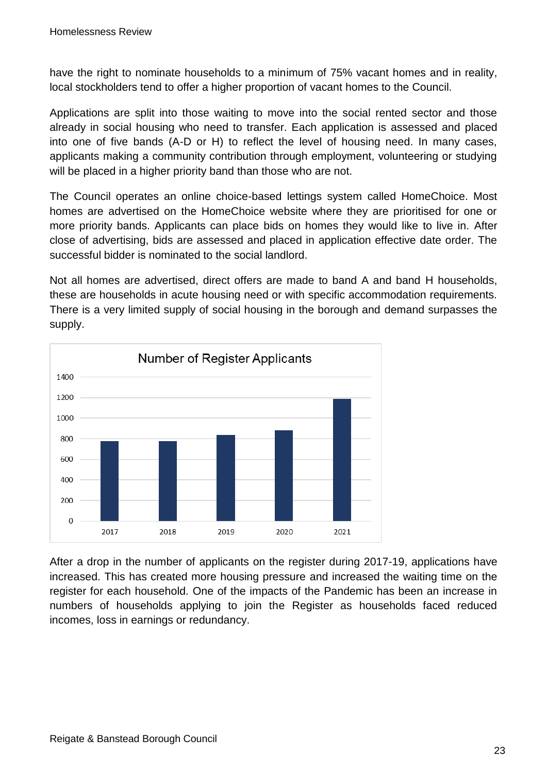have the right to nominate households to a minimum of 75% vacant homes and in reality, local stockholders tend to offer a higher proportion of vacant homes to the Council.

Applications are split into those waiting to move into the social rented sector and those already in social housing who need to transfer. Each application is assessed and placed into one of five bands (A-D or H) to reflect the level of housing need. In many cases, applicants making a community contribution through employment, volunteering or studying will be placed in a higher priority band than those who are not.

The Council operates an online choice-based lettings system called HomeChoice. Most homes are advertised on the HomeChoice website where they are prioritised for one or more priority bands. Applicants can place bids on homes they would like to live in. After close of advertising, bids are assessed and placed in application effective date order. The successful bidder is nominated to the social landlord.

Not all homes are advertised, direct offers are made to band A and band H households, these are households in acute housing need or with specific accommodation requirements. There is a very limited supply of social housing in the borough and demand surpasses the supply.



After a drop in the number of applicants on the register during 2017-19, applications have increased. This has created more housing pressure and increased the waiting time on the register for each household. One of the impacts of the Pandemic has been an increase in numbers of households applying to join the Register as households faced reduced incomes, loss in earnings or redundancy.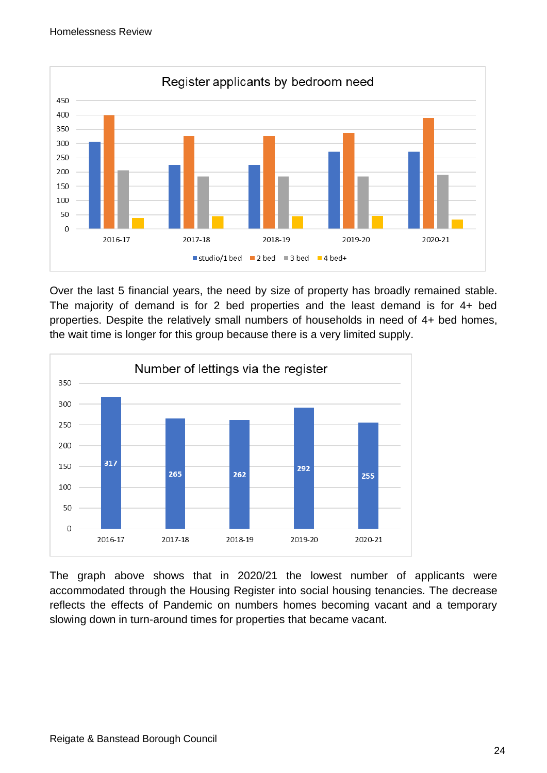

Over the last 5 financial years, the need by size of property has broadly remained stable. The majority of demand is for 2 bed properties and the least demand is for 4+ bed properties. Despite the relatively small numbers of households in need of 4+ bed homes, the wait time is longer for this group because there is a very limited supply.



The graph above shows that in 2020/21 the lowest number of applicants were accommodated through the Housing Register into social housing tenancies. The decrease reflects the effects of Pandemic on numbers homes becoming vacant and a temporary slowing down in turn-around times for properties that became vacant.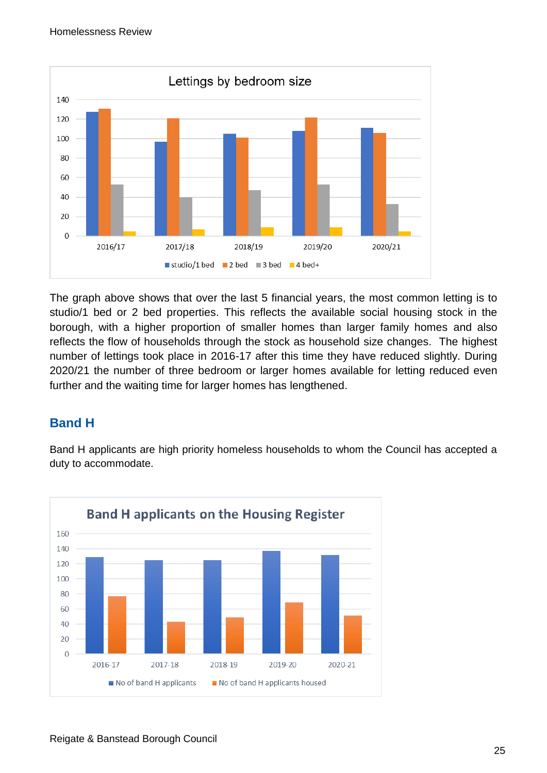

The graph above shows that over the last 5 financial years, the most common letting is to studio/1 bed or 2 bed properties. This reflects the available social housing stock in the borough, with a higher proportion of smaller homes than larger family homes and also reflects the flow of households through the stock as household size changes. The highest number of lettings took place in 2016-17 after this time they have reduced slightly. During 2020/21 the number of three bedroom or larger homes available for letting reduced even further and the waiting time for larger homes has lengthened.

## **Band H**

Band H applicants are high priority homeless households to whom the Council has accepted a duty to accommodate.